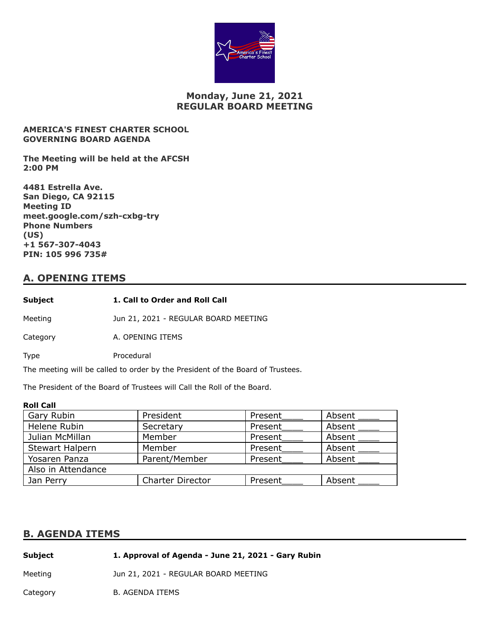

## **Monday, June 21, 2021 REGULAR BOARD MEETING**

#### **AMERICA'S FINEST CHARTER SCHOOL GOVERNING BOARD AGENDA**

**The Meeting will be held at the AFCSH 2:00 PM**

**4481 Estrella Ave. San Diego, CA 92115 Meeting ID meet.google.com/szh-cxbg-try Phone Numbers (US) +1 567-307-4043 PIN: 105 996 735#**

# **A. OPENING ITEMS**

| Subject  | 1. Call to Order and Roll Call       |
|----------|--------------------------------------|
| Meeting  | Jun 21, 2021 - REGULAR BOARD MEETING |
| Category | A. OPENING ITEMS                     |
| Type     | Procedural                           |

The meeting will be called to order by the President of the Board of Trustees.

The President of the Board of Trustees will Call the Roll of the Board.

#### **Roll Call**

| Gary Rubin             | President               | Present | Absent |
|------------------------|-------------------------|---------|--------|
| Helene Rubin           | Secretary               | Present | Absent |
| Julian McMillan        | Member                  | Present | Absent |
| <b>Stewart Halpern</b> | Member                  | Present | Absent |
| Yosaren Panza          | Parent/Member           | Present | Absent |
| Also in Attendance     |                         |         |        |
| Jan Perry              | <b>Charter Director</b> | Present | Absent |

### **B. AGENDA ITEMS**

| <b>Subject</b> | 1. Approval of Agenda - June 21, 2021 - Gary Rubin |
|----------------|----------------------------------------------------|
| Meeting        | Jun 21, 2021 - REGULAR BOARD MEETING               |

Category B. AGENDA ITEMS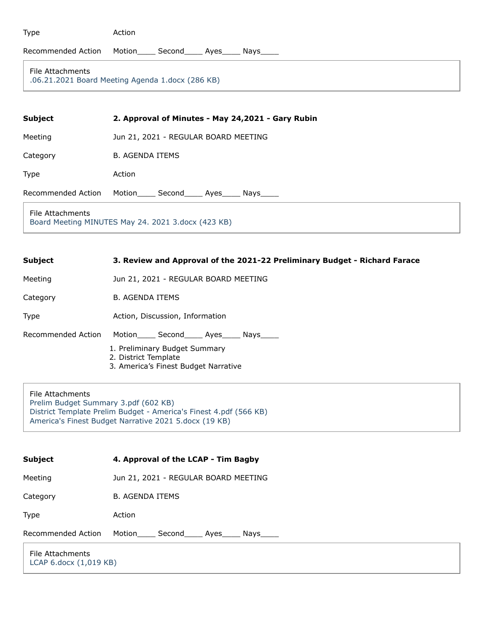|  | ۰. |
|--|----|

Action

#### Recommended Action Motion\_\_\_\_ Second\_\_\_\_ Ayes\_\_\_\_ Nays\_\_\_\_

#### File Attachments

[.06.21.2021 Board Meeting Agenda 1.docx \(286 KB\)](https://go.boarddocs.com/ca/americasfinest/Board.nsf/files/C43QP9633AB6/$file/.06.21.2021%20Board%20Meeting%20Agenda%201.docx)

| <b>Subject</b>     | 2. Approval of Minutes - May 24,2021 - Gary Rubin |
|--------------------|---------------------------------------------------|
| Meeting            | Jun 21, 2021 - REGULAR BOARD MEETING              |
| Category           | <b>B. AGENDA ITEMS</b>                            |
| Type               | Action                                            |
| Recommended Action | Motion<br>Second______ Ayes_____<br>Nays          |

File Attachments [Board Meeting MINUTES May 24. 2021 3.docx \(423 KB\)](https://go.boarddocs.com/ca/americasfinest/Board.nsf/files/C43QPQ634F26/$file/Board%20Meeting%20MINUTES%20May%2024.%202021%203.docx)

| <b>Subject</b> | 3. Review and Approval of the 2021-22 Preliminary Budget - Richard Farace |
|----------------|---------------------------------------------------------------------------|
| Meeting        | Jun 21, 2021 - REGULAR BOARD MEETING                                      |
| Category       | B. AGENDA ITEMS                                                           |

Type **Action, Discussion, Information** 

Recommended Action Motion\_\_\_\_\_ Second\_\_\_\_\_ Ayes\_\_\_\_ Nays\_\_\_

- 1. Preliminary Budget Summary
- 2. District Template
- 3. America's Finest Budget Narrative

File Attachments [Prelim Budget Summary 3.pdf \(602 KB\)](https://go.boarddocs.com/ca/americasfinest/Board.nsf/files/C43QPX636B7F/$file/Prelim%20Budget%20Summary%203.pdf) [District Template Prelim Budget - America's Finest 4.pdf \(566 KB\)](https://go.boarddocs.com/ca/americasfinest/Board.nsf/files/C43QQ5637067/$file/District%20Template%20Prelim%20Budget%20-%20America) [America's Finest Budget Narrative 2021 5.docx \(19 KB\)](https://go.boarddocs.com/ca/americasfinest/Board.nsf/files/C43QQ96373BD/$file/America)

| <b>Subject</b>                             | 4. Approval of the LCAP - Tim Bagby  |
|--------------------------------------------|--------------------------------------|
| Meeting                                    | Jun 21, 2021 - REGULAR BOARD MEETING |
| Category                                   | <b>B. AGENDA ITEMS</b>               |
| Type                                       | Action                               |
| Recommended Action                         | Motion<br>Second<br>Ayes<br>Nays     |
| File Attachments<br>LCAP 6.docx (1,019 KB) |                                      |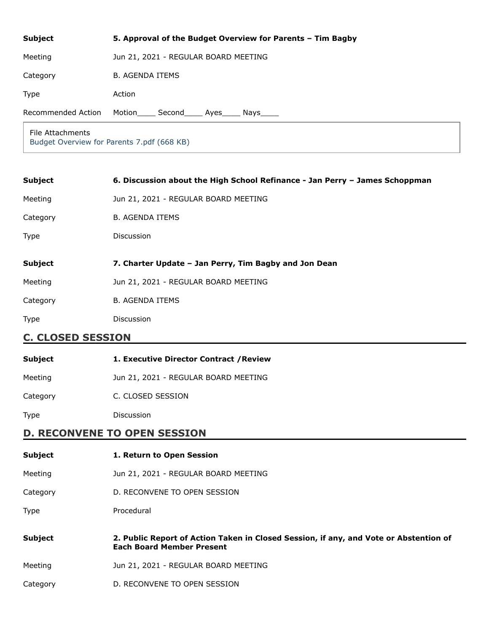| <b>Subject</b>     | 5. Approval of the Budget Overview for Parents - Tim Bagby |
|--------------------|------------------------------------------------------------|
| Meeting            | Jun 21, 2021 - REGULAR BOARD MEETING                       |
| Category           | <b>B. AGENDA ITEMS</b>                                     |
| Type               | Action                                                     |
| Recommended Action | Motion<br>Second<br>Ayes<br>Nays                           |

File Attachments [Budget Overview for Parents 7.pdf \(668 KB\)](https://go.boarddocs.com/ca/americasfinest/Board.nsf/files/C43QRR63EA9C/$file/Budget%20Overview%20for%20Parents%207.pdf)

| <b>Subject</b> | 6. Discussion about the High School Refinance - Jan Perry - James Schoppman |
|----------------|-----------------------------------------------------------------------------|
| Meeting        | Jun 21, 2021 - REGULAR BOARD MEETING                                        |
| Category       | <b>B. AGENDA ITEMS</b>                                                      |
| Type           | Discussion                                                                  |
|                |                                                                             |
|                |                                                                             |
| <b>Subject</b> | 7. Charter Update - Jan Perry, Tim Bagby and Jon Dean                       |
| Meeting        | Jun 21, 2021 - REGULAR BOARD MEETING                                        |
| Category       | <b>B. AGENDA ITEMS</b>                                                      |
| <b>Type</b>    | <b>Discussion</b>                                                           |

# **C. CLOSED SESSION**

| <b>Subject</b> | 1. Executive Director Contract / Review |
|----------------|-----------------------------------------|
| Meeting        | Jun 21, 2021 - REGULAR BOARD MEETING    |
| Category       | C. CLOSED SESSION                       |

Type Discussion

# **D. RECONVENE TO OPEN SESSION**

| <b>Subject</b> | 1. Return to Open Session                                                                                                 |
|----------------|---------------------------------------------------------------------------------------------------------------------------|
| Meeting        | Jun 21, 2021 - REGULAR BOARD MEETING                                                                                      |
| Category       | D. RECONVENE TO OPEN SESSION                                                                                              |
| Type           | Procedural                                                                                                                |
|                |                                                                                                                           |
| <b>Subject</b> | 2. Public Report of Action Taken in Closed Session, if any, and Vote or Abstention of<br><b>Each Board Member Present</b> |
| Meeting        | Jun 21, 2021 - REGULAR BOARD MEETING                                                                                      |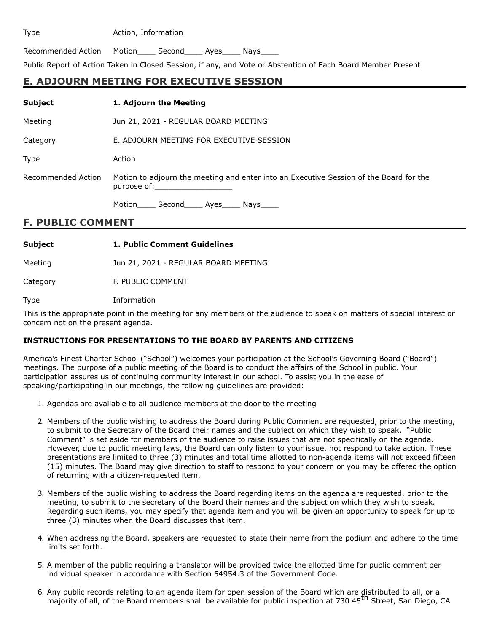#### Type **Action**, Information

Recommended Action Motion\_\_\_\_ Second\_\_\_\_ Ayes\_\_\_\_ Nays\_\_\_\_

Public Report of Action Taken in Closed Session, if any, and Vote or Abstention of Each Board Member Present

# **E. ADJOURN MEETING FOR EXECUTIVE SESSION**

| <b>Subject</b>           | 1. Adjourn the Meeting                                                                                                                                                                                                                                                                                                                                                     |
|--------------------------|----------------------------------------------------------------------------------------------------------------------------------------------------------------------------------------------------------------------------------------------------------------------------------------------------------------------------------------------------------------------------|
| Meeting                  | Jun 21, 2021 - REGULAR BOARD MEETING                                                                                                                                                                                                                                                                                                                                       |
| Category                 | E. ADJOURN MEETING FOR EXECUTIVE SESSION                                                                                                                                                                                                                                                                                                                                   |
| <b>Type</b>              | Action                                                                                                                                                                                                                                                                                                                                                                     |
| Recommended Action       | Motion to adjourn the meeting and enter into an Executive Session of the Board for the<br>purpose of: the contract of the contract of the contract of the contract of the contract of the contract of the contract of the contract of the contract of the contract of the contract of the contract of the contract of th<br>Motion _____ Second______ Ayes______ Nays_____ |
| <b>F. PUBLIC COMMENT</b> |                                                                                                                                                                                                                                                                                                                                                                            |

| <b>Subject</b> | 1. Public Comment Guidelines         |
|----------------|--------------------------------------|
| Meeting        | Jun 21, 2021 - REGULAR BOARD MEETING |
| Category       | F. PUBLIC COMMENT                    |
| <b>Type</b>    | Information                          |

This is the appropriate point in the meeting for any members of the audience to speak on matters of special interest or concern not on the present agenda.

#### **INSTRUCTIONS FOR PRESENTATIONS TO THE BOARD BY PARENTS AND CITIZENS**

America's Finest Charter School ("School") welcomes your participation at the School's Governing Board ("Board") meetings. The purpose of a public meeting of the Board is to conduct the affairs of the School in public. Your participation assures us of continuing community interest in our school. To assist you in the ease of speaking/participating in our meetings, the following guidelines are provided:

- 1. Agendas are available to all audience members at the door to the meeting
- 2. Members of the public wishing to address the Board during Public Comment are requested, prior to the meeting, to submit to the Secretary of the Board their names and the subject on which they wish to speak. "Public Comment" is set aside for members of the audience to raise issues that are not specifically on the agenda. However, due to public meeting laws, the Board can only listen to your issue, not respond to take action. These presentations are limited to three (3) minutes and total time allotted to non-agenda items will not exceed fifteen (15) minutes. The Board may give direction to staff to respond to your concern or you may be offered the option of returning with a citizen-requested item.
- 3. Members of the public wishing to address the Board regarding items on the agenda are requested, prior to the meeting, to submit to the secretary of the Board their names and the subject on which they wish to speak. Regarding such items, you may specify that agenda item and you will be given an opportunity to speak for up to three (3) minutes when the Board discusses that item.
- 4. When addressing the Board, speakers are requested to state their name from the podium and adhere to the time limits set forth.
- 5. A member of the public requiring a translator will be provided twice the allotted time for public comment per individual speaker in accordance with Section 54954.3 of the Government Code.
- 6. Any public records relating to an agenda item for open session of the Board which are distributed to all, or a majority of all, of the Board members shall be available for public inspection at 730 45<sup>th</sup> Street, San Diego, CA